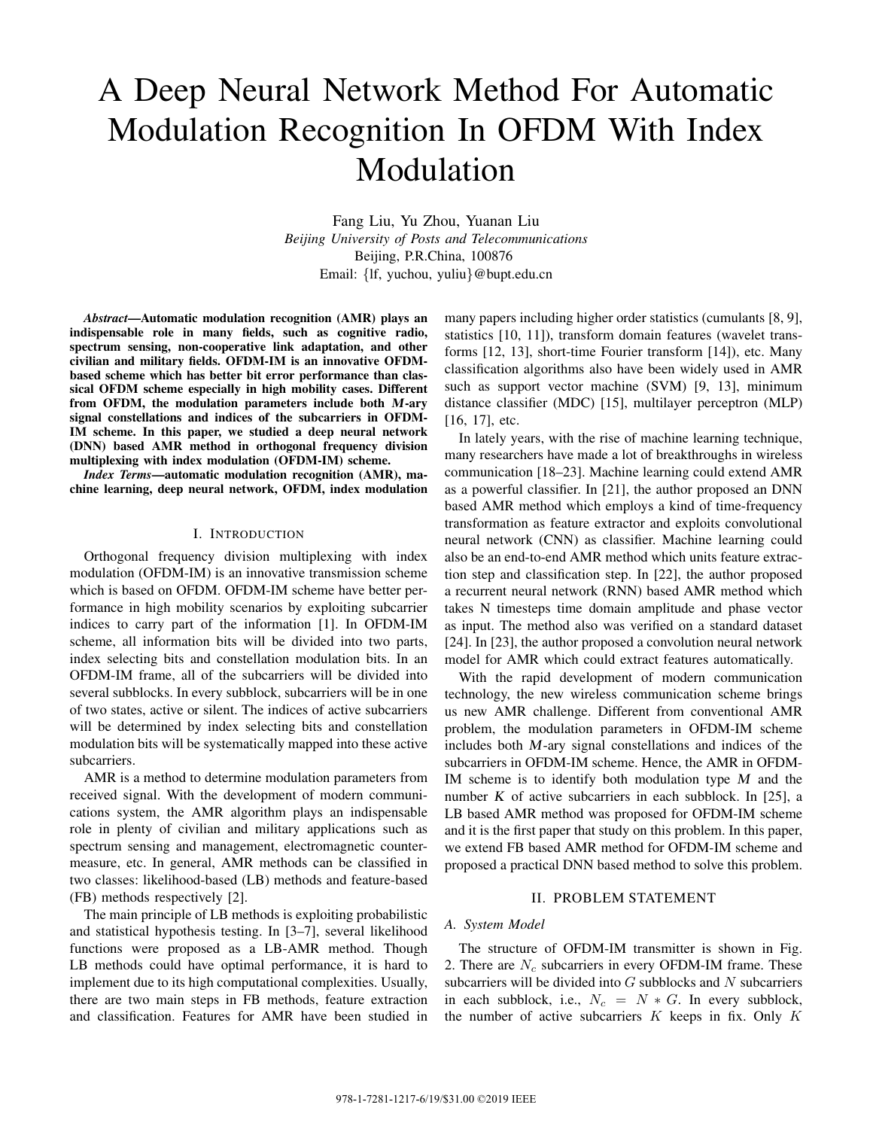# A Deep Neural Network Method For Automatic Modulation Recognition In OFDM With Index Modulation

Fang Liu, Yu Zhou, Yuanan Liu *Beijing University of Posts and Telecommunications* Beijing, P.R.China, 100876 Email: *{*lf, yuchou, yuliu*}*@bupt.edu.cn

*Abstract*—Automatic modulation recognition (AMR) plays an indispensable role in many fields, such as cognitive radio, spectrum sensing, non-cooperative link adaptation, and other civilian and military fields. OFDM-IM is an innovative OFDMbased scheme which has better bit error performance than classical OFDM scheme especially in high mobility cases. Different from OFDM, the modulation parameters include both <sup>M</sup>-ary signal constellations and indices of the subcarriers in OFDM-IM scheme. In this paper, we studied a deep neural network (DNN) based AMR method in orthogonal frequency division multiplexing with index modulation (OFDM-IM) scheme.

*Index Terms*—automatic modulation recognition (AMR), machine learning, deep neural network, OFDM, index modulation

## I. INTRODUCTION

Orthogonal frequency division multiplexing with index modulation (OFDM-IM) is an innovative transmission scheme which is based on OFDM. OFDM-IM scheme have better performance in high mobility scenarios by exploiting subcarrier indices to carry part of the information [1]. In OFDM-IM scheme, all information bits will be divided into two parts, index selecting bits and constellation modulation bits. In an OFDM-IM frame, all of the subcarriers will be divided into several subblocks. In every subblock, subcarriers will be in one of two states, active or silent. The indices of active subcarriers will be determined by index selecting bits and constellation modulation bits will be systematically mapped into these active subcarriers.

AMR is a method to determine modulation parameters from received signal. With the development of modern communications system, the AMR algorithm plays an indispensable role in plenty of civilian and military applications such as spectrum sensing and management, electromagnetic countermeasure, etc. In general, AMR methods can be classified in two classes: likelihood-based (LB) methods and feature-based (FB) methods respectively [2].

The main principle of LB methods is exploiting probabilistic and statistical hypothesis testing. In [3–7], several likelihood functions were proposed as a LB-AMR method. Though LB methods could have optimal performance, it is hard to implement due to its high computational complexities. Usually, there are two main steps in FB methods, feature extraction and classification. Features for AMR have been studied in many papers including higher order statistics (cumulants [8, 9], statistics [10, 11]), transform domain features (wavelet transforms [12, 13], short-time Fourier transform [14]), etc. Many classification algorithms also have been widely used in AMR such as support vector machine (SVM) [9, 13], minimum distance classifier (MDC) [15], multilayer perceptron (MLP) [16, 17], etc.

In lately years, with the rise of machine learning technique, many researchers have made a lot of breakthroughs in wireless communication [18–23]. Machine learning could extend AMR as a powerful classifier. In [21], the author proposed an DNN based AMR method which employs a kind of time-frequency transformation as feature extractor and exploits convolutional neural network (CNN) as classifier. Machine learning could also be an end-to-end AMR method which units feature extraction step and classification step. In [22], the author proposed a recurrent neural network (RNN) based AMR method which takes N timesteps time domain amplitude and phase vector as input. The method also was verified on a standard dataset [24]. In [23], the author proposed a convolution neural network model for AMR which could extract features automatically.

With the rapid development of modern communication technology, the new wireless communication scheme brings us new AMR challenge. Different from conventional AMR problem, the modulation parameters in OFDM-IM scheme includes both <sup>M</sup>-ary signal constellations and indices of the subcarriers in OFDM-IM scheme. Hence, the AMR in OFDM-IM scheme is to identify both modulation type  $M$  and the number  $K$  of active subcarriers in each subblock. In [25], a LB based AMR method was proposed for OFDM-IM scheme and it is the first paper that study on this problem. In this paper, we extend FB based AMR method for OFDM-IM scheme and proposed a practical DNN based method to solve this problem.

## II. PROBLEM STATEMENT

#### *A. System Model*

The structure of OFDM-IM transmitter is shown in Fig. 2. There are *N<sup>c</sup>* subcarriers in every OFDM-IM frame. These subcarriers will be divided into *G* subblocks and *N* subcarriers in each subblock, i.e.,  $N_c = N * G$ . In every subblock, the number of active subcarriers *K* keeps in fix. Only *K*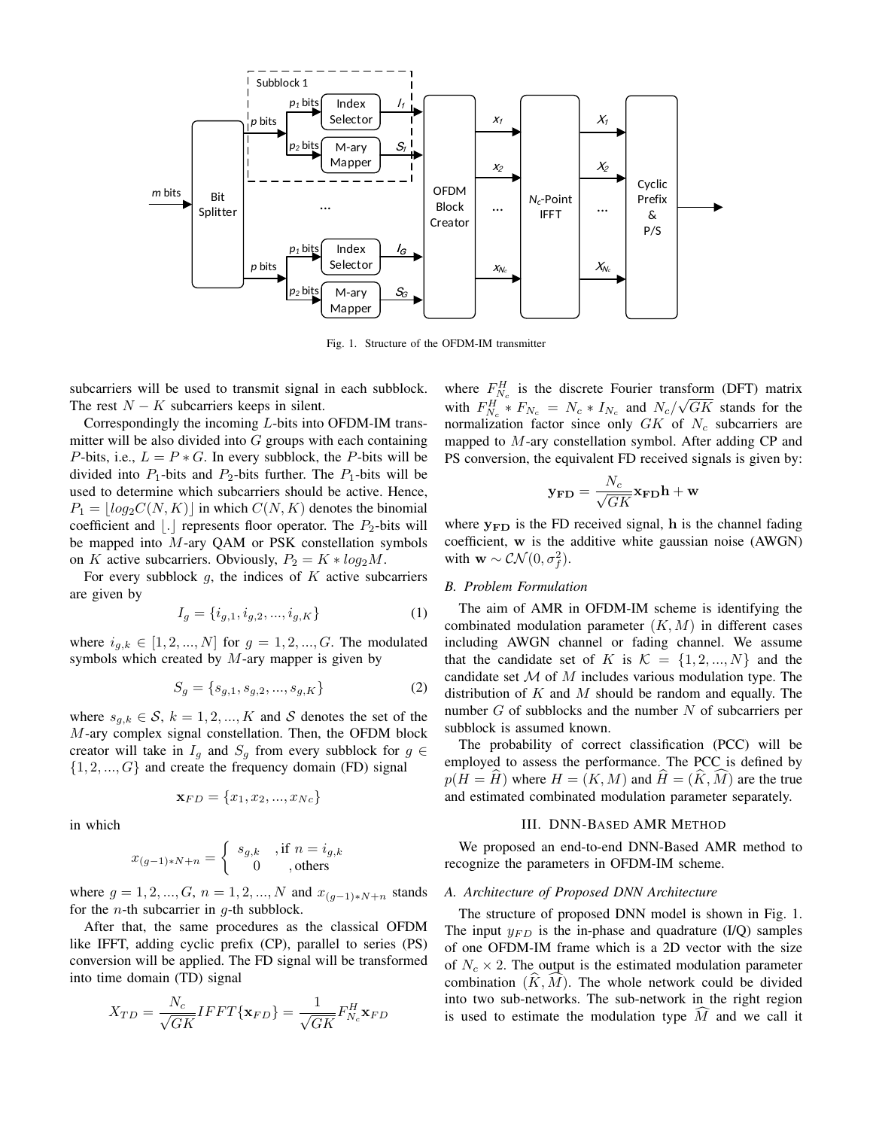

Fig. 1. Structure of the OFDM-IM transmitter

subcarriers will be used to transmit signal in each subblock. The rest  $N - K$  subcarriers keeps in silent.

Correspondingly the incoming *L*-bits into OFDM-IM transmitter will be also divided into *G* groups with each containing *P*-bits, i.e.,  $L = P * G$ . In every subblock, the *P*-bits will be divided into  $P_1$ -bits and  $P_2$ -bits further. The  $P_1$ -bits will be used to determine which subcarriers should be active. Hence,  $P_1 = \lfloor log_2 C(N, K) \rfloor$  in which  $C(N, K)$  denotes the binomial coefficient and  $\vert \cdot \vert$  represents floor operator. The  $P_2$ -bits will be mapped into *M*-ary QAM or PSK constellation symbols on *K* active subcarriers. Obviously,  $P_2 = K * log_2 M$ .

For every subblock *g*, the indices of *K* active subcarriers are given by

$$
I_g = \{i_{g,1}, i_{g,2}, ..., i_{g,K}\}\tag{1}
$$

where  $i_{g,k} \in [1, 2, ..., N]$  for  $g = 1, 2, ..., G$ . The modulated symbols which created by *M*-ary mapper is given by

$$
S_g = \{s_{g,1}, s_{g,2}, ..., s_{g,K}\}\tag{2}
$$

where  $s_{g,k} \in S$ ,  $k = 1, 2, ..., K$  and *S* denotes the set of the *M*-ary complex signal constellation. Then, the OFDM block creator will take in  $I_g$  and  $S_g$  from every subblock for  $g \in$ *{*1*,* 2*, ..., G}* and create the frequency domain (FD) signal

$$
\mathbf{x}_{FD} = \{x_1, x_2, ..., x_{Nc}\}
$$

in which

$$
x_{(g-1)*N+n} = \begin{cases} s_{g,k} & \text{, if } n = i_{g,k} \\ 0 & \text{, others} \end{cases}
$$

where  $g = 1, 2, ..., G$ ,  $n = 1, 2, ..., N$  and  $x_{(q-1)*N+n}$  stands for the *n*-th subcarrier in *g*-th subblock.

After that, the same procedures as the classical OFDM like IFFT, adding cyclic prefix (CP), parallel to series (PS) conversion will be applied. The FD signal will be transformed into time domain (TD) signal

$$
X_{TD} = \frac{N_c}{\sqrt{G K}} IFFT\{\mathbf{x}_{FD}\} = \frac{1}{\sqrt{G K}} F_{N_c}^H \mathbf{x}_{FD}
$$

where  $F_{N_c}^H$  is the discrete Fourier transform (DFT) matrix with  $F_{N_c}^H * F_{N_c} = N_c * I_{N_c}$  and  $N_c/$ *√ GK* stands for the normalization factor since only *GK* of *N<sup>c</sup>* subcarriers are mapped to *M*-ary constellation symbol. After adding CP and PS conversion, the equivalent FD received signals is given by:

$$
\mathbf{y_{FD}} = \frac{N_c}{\sqrt{G K}} \mathbf{x_{FD}} \mathbf{h} + \mathbf{w}
$$

where **yFD** is the FD received signal, **h** is the channel fading coefficient, **w** is the additive white gaussian noise (AWGN) with  $\mathbf{w} \sim \mathcal{CN}(0, \sigma_f^2)$ .

### *B. Problem Formulation*

The aim of AMR in OFDM-IM scheme is identifying the combinated modulation parameter (*K, M*) in different cases including AWGN channel or fading channel. We assume that the candidate set of *K* is  $K = \{1, 2, ..., N\}$  and the candidate set *M* of *M* includes various modulation type. The distribution of *K* and *M* should be random and equally. The number *G* of subblocks and the number *N* of subcarriers per subblock is assumed known.

The probability of correct classification (PCC) will be employed to assess the performance. The PCC is defined by  $p(H = H)$  where  $H = (K, M)$  and  $H = (K, M)$  are the true and estimated combinated modulation parameter separately.

## III. DNN-BASED AMR METHOD

We proposed an end-to-end DNN-Based AMR method to recognize the parameters in OFDM-IM scheme.

#### *A. Architecture of Proposed DNN Architecture*

The structure of proposed DNN model is shown in Fig. 1. The input  $y_{FD}$  is the in-phase and quadrature (I/Q) samples of one OFDM-IM frame which is a 2D vector with the size of  $N_c \times 2$ . The output is the estimated modulation parameter combination  $(K, M)$ . The whole network could be divided into two sub-networks. The sub-network in the right region is used to estimate the modulation type  $\overline{M}$  and we call it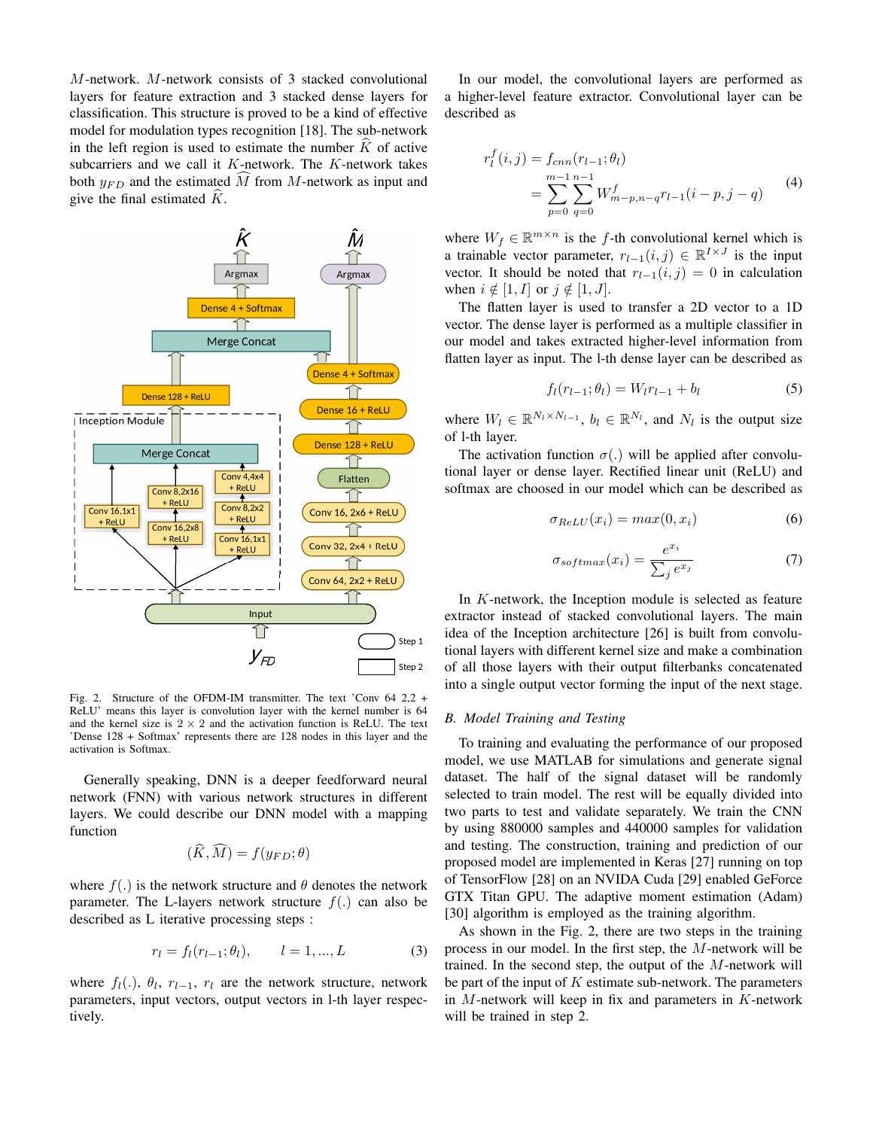*M*-network. *M*-network consists of 3 stacked convolutional layers for feature extraction and 3 stacked dense layers for classification. This structure is proved to be a kind of effective model for modulation types recognition [18]. The sub-network in the left region is used to estimate the number  $\tilde{K}$  of active subcarriers and we call it *K*-network. The *K*-network takes both  $y_{FD}$  and the estimated  $\widehat{M}$  from *M*-network as input and give the final estimated  $\ddot{K}$ .



Fig. 2. Structure of the OFDM-IM transmitter. The text 'Conv 64 2,2 + ReLU' means this layer is convolution layer with the kernel number is 64 and the kernel size is  $2 \times 2$  and the activation function is ReLU. The text 'Dense 128 + Softmax' represents there are 128 nodes in this layer and the activation is Softmax.

Generally speaking, DNN is a deeper feedforward neural network (FNN) with various network structures in different layers. We could describe our DNN model with a mapping function

$$
(\dot{K}, \dot{M}) = f(y_{FD}; \theta)
$$

where  $f(.)$  is the network structure and  $\theta$  denotes the network parameter. The L-layers network structure  $f(.)$  can also be described as L iterative processing steps :

$$
r_l = f_l(r_{l-1}; \theta_l), \qquad l = 1, ..., L \tag{3}
$$

where  $f_l(.)$ ,  $\theta_l$ ,  $r_{l-1}$ ,  $r_l$  are the network structure, network parameters, input vectors, output vectors in l-th layer respectively.

In our model, the convolutional layers are performed as a higher-level feature extractor. Convolutional layer can be described as

$$
r_l^f(i,j) = f_{cnn}(r_{l-1}; \theta_l)
$$
  
= 
$$
\sum_{p=0}^{m-1} \sum_{q=0}^{n-1} W_{m-p,n-q}^f r_{l-1}(i-p, j-q)
$$
 (4)

where  $W_f \in \mathbb{R}^{m \times n}$  is the *f*-th convolutional kernel which is a trainable vector parameter,  $r_{l-1}(i, j) \in \mathbb{R}^{I \times J}$  is the input vector. It should be noted that  $r_{l-1}(i, j) = 0$  in calculation when  $i \notin [1, I]$  or  $j \notin [1, J]$ .

The flatten layer is used to transfer a 2D vector to a 1D vector. The dense layer is performed as a multiple classifier in our model and takes extracted higher-level information from flatten layer as input. The l-th dense layer can be described as

$$
f_l(r_{l-1}; \theta_l) = W_l r_{l-1} + b_l \tag{5}
$$

where  $W_l \in \mathbb{R}^{N_l \times N_{l-1}}$ ,  $b_l \in \mathbb{R}^{N_l}$ , and  $N_l$  is the output size of l-th layer.

The activation function  $\sigma(.)$  will be applied after convolutional layer or dense layer. Rectified linear unit (ReLU) and softmax are choosed in our model which can be described as

$$
\sigma_{ReLU}(x_i) = max(0, x_i)
$$
\n(6)

$$
\sigma_{softmax}(x_i) = \frac{e^{x_i}}{\sum_j e^{x_j}} \tag{7}
$$

In *K*-network, the Inception module is selected as feature extractor instead of stacked convolutional layers. The main idea of the Inception architecture [26] is built from convolutional layers with different kernel size and make a combination of all those layers with their output filterbanks concatenated into a single output vector forming the input of the next stage.

#### *B. Model Training and Testing*

To training and evaluating the performance of our proposed model, we use MATLAB for simulations and generate signal dataset. The half of the signal dataset will be randomly selected to train model. The rest will be equally divided into two parts to test and validate separately. We train the CNN by using 880000 samples and 440000 samples for validation and testing. The construction, training and prediction of our proposed model are implemented in Keras [27] running on top of TensorFlow [28] on an NVIDA Cuda [29] enabled GeForce GTX Titan GPU. The adaptive moment estimation (Adam) [30] algorithm is employed as the training algorithm.

As shown in the Fig. 2, there are two steps in the training process in our model. In the first step, the *M*-network will be trained. In the second step, the output of the *M*-network will be part of the input of *K* estimate sub-network. The parameters in *M*-network will keep in fix and parameters in *K*-network will be trained in step 2.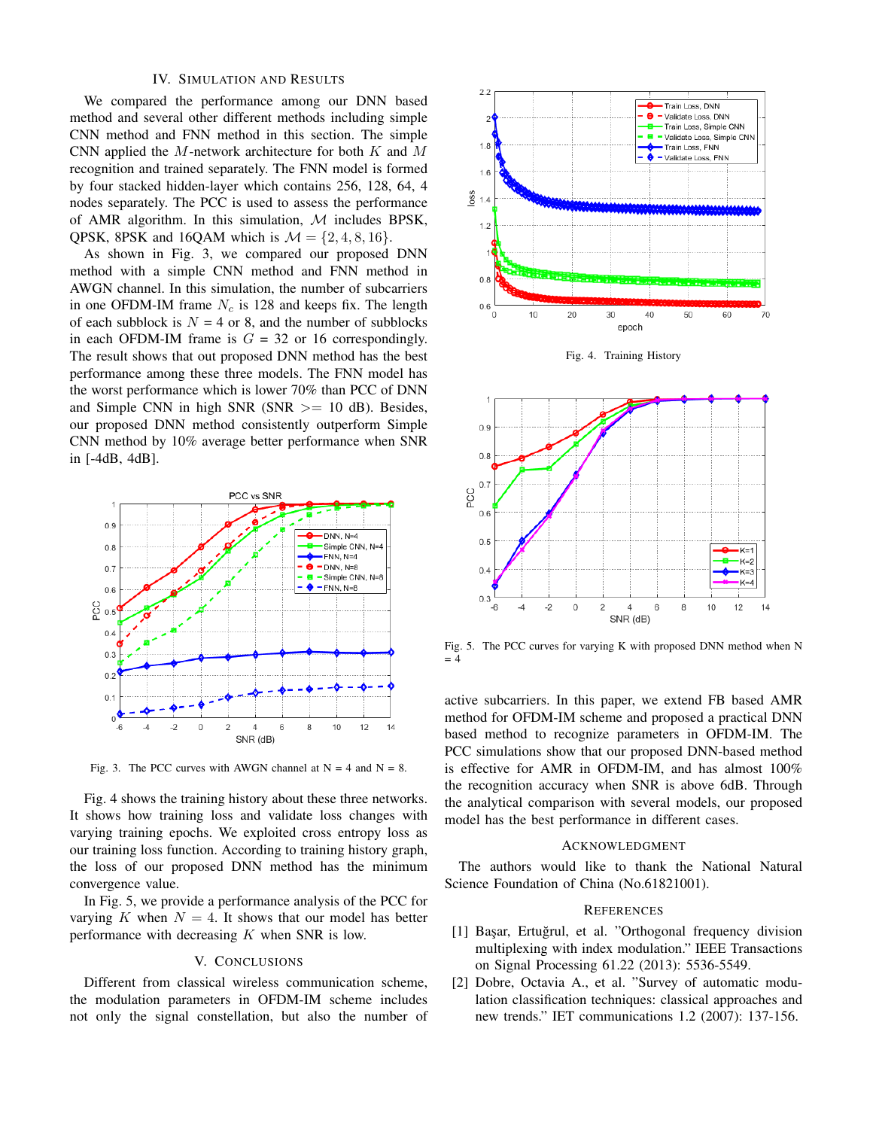## IV. SIMULATION AND RESULTS

We compared the performance among our DNN based method and several other different methods including simple CNN method and FNN method in this section. The simple CNN applied the *M*-network architecture for both *K* and *M* recognition and trained separately. The FNN model is formed by four stacked hidden-layer which contains 256, 128, 64, 4 nodes separately. The PCC is used to assess the performance of AMR algorithm. In this simulation, *M* includes BPSK, QPSK, 8PSK and 16QAM which is  $M = \{2, 4, 8, 16\}$ .

As shown in Fig. 3, we compared our proposed DNN method with a simple CNN method and FNN method in AWGN channel. In this simulation, the number of subcarriers in one OFDM-IM frame *N<sup>c</sup>* is 128 and keeps fix. The length of each subblock is  $N = 4$  or 8, and the number of subblocks in each OFDM-IM frame is  $G = 32$  or 16 correspondingly. The result shows that out proposed DNN method has the best performance among these three models. The FNN model has the worst performance which is lower 70% than PCC of DNN and Simple CNN in high SNR (SNR *>*= 10 dB). Besides, our proposed DNN method consistently outperform Simple CNN method by 10% average better performance when SNR in [-4dB, 4dB].



Fig. 3. The PCC curves with AWGN channel at  $N = 4$  and  $N = 8$ .

Fig. 4 shows the training history about these three networks. It shows how training loss and validate loss changes with varying training epochs. We exploited cross entropy loss as our training loss function. According to training history graph, the loss of our proposed DNN method has the minimum convergence value.

In Fig. 5, we provide a performance analysis of the PCC for varying *K* when  $N = 4$ . It shows that our model has better performance with decreasing *K* when SNR is low.

#### V. CONCLUSIONS

Different from classical wireless communication scheme, the modulation parameters in OFDM-IM scheme includes not only the signal constellation, but also the number of



Fig. 4. Training History



Fig. 5. The PCC curves for varying K with proposed DNN method when N  $= 4$ 

active subcarriers. In this paper, we extend FB based AMR method for OFDM-IM scheme and proposed a practical DNN based method to recognize parameters in OFDM-IM. The PCC simulations show that our proposed DNN-based method is effective for AMR in OFDM-IM, and has almost 100% the recognition accuracy when SNR is above 6dB. Through the analytical comparison with several models, our proposed model has the best performance in different cases.

#### ACKNOWLEDGMENT

The authors would like to thank the National Natural Science Foundation of China (No.61821001).

#### **REFERENCES**

- [1] Başar, Ertuğrul, et al. "Orthogonal frequency division multiplexing with index modulation." IEEE Transactions on Signal Processing 61.22 (2013): 5536-5549.
- [2] Dobre, Octavia A., et al. "Survey of automatic modulation classification techniques: classical approaches and new trends." IET communications 1.2 (2007): 137-156.